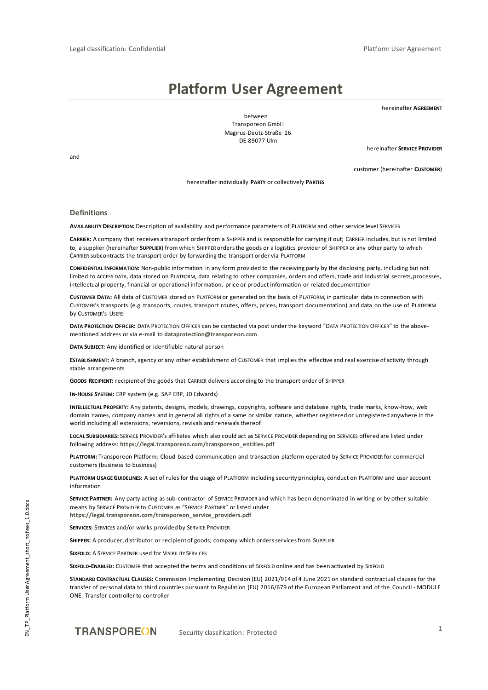# **Platform User Agreement**

hereinafter **AGREEMENT**

between Transporeon GmbH Magirus-Deutz-Straße 16 DE-89077 Ulm

hereinafter **SERVICE PROVIDER**

customer (hereinafter **CUSTOMER**)

and

hereinafter individually **PARTY** or collectively **PARTIES**

#### **Definitions**

**AVAILABILITY DESCRIPTION:** Description of availability and performance parameters of PLATFORM and other service level SERVICES

**CARRIER:** A company that receives a transport order from a SHIPPER and is responsible for carrying it out; CARRIER includes, but is not limited to, a supplier (hereinafter **SUPPLIER**) from which SHIPPER orders the goods or a logistics provider of SHIPPER or any other party to which CARRIER subcontracts the transport order by forwarding the transport order via PLATFORM

**CONFIDENTIAL INFORMATION:** Non-public information in any form provided to the receiving party by the disclosing party, including but not limited to ACCESS DATA, data stored on PLATFORM, data relating to other companies, orders and offers, trade and industrial secrets, processes, intellectual property, financial or operational information, price or product information or related documentation

**CUSTOMER DATA:** All data of CUSTOMER stored on PLATFORM or generated on the basis of PLATFORM, in particular data in connection with CUSTOMER's transports (e.g. transports, routes, transport routes, offers, prices, transport documentation) and data on the use of PLATFORM by CUSTOMER's USERS

**DATA PROTECTION OFFICER:** DATA PROTECTION OFFICER can be contacted via post under the keyword "DATA PROTECTION OFFICER" to the abovementioned address or via e-mail to **[dataprotection@transporeon.com](mailto:dataprotection@transporeon.com)**

**DATA SUBJECT:** Any identified or identifiable natural person

**ESTABLISHMENT:** A branch, agency or any other establishment of CUSTOMER that implies the effective and real exercise of activity through stable arrangements

**GOODS RECIPIENT:** recipient of the goods that CARRIER delivers according to the transport order of SHIPPER

**IN-HOUSE SYSTEM:** ERP system (e.g. SAP ERP, JD Edwards)

**INTELLECTUAL PROPERTY:** Any patents, designs, models, drawings, copyrights, software and database rights, trade marks, know-how, web domain names, company names and in general all rights of a same or similar nature, whether registered or unregistered anywhere in the world including all extensions, reversions, revivals and renewals thereof

**LOCAL SUBSIDIARIES:** SERVICE PROVIDER's affiliates which also could act as SERVICE PROVIDER depending on SERVICES offered are listed under following address: **[https://legal.transporeon.com/transporeon\\_entities.pdf](https://legal.transporeon.com/transporeon_entities.pdf)**

**PLATFORM:** Transporeon Platform; Cloud-based communication and transaction platform operated by SERVICE PROVIDER for commercial customers (business to business)

**PLATFORM USAGE GUIDELINES:** A set of rules for the usage of PLATFORM including security principles, conduct on PLATFORM and user account information

**SERVICE PARTNER:** Any party acting as sub-contractor of SERVICE PROVIDER and which has been denominated in writing or by other suitable means by SERVICE PROVIDER to CUSTOMER as "SERVICE PARTNER" or listed under **[https://legal.transporeon.com/transporeon\\_service\\_providers.pdf](https://legal.transporeon.com/transporeon_service_providers.pdf)**

**SERVICES:** SERVICES and/or works provided by SERVICE PROVIDER

**SHIPPER:** A producer, distributor or recipient of goods; company which orders services from SUPPLIER

**SIXFOLD:** A SERVICE PARTNER used for VISIBILITY SERVICES

**SIXFOLD-ENABLED:** CUSTOMER that accepted the terms and conditions of SIXFOLD online and has been activated by SIXFOLD

**STANDARD CONTRACTUAL CLAUSES:** Commission Implementing Decision (EU) 2021/914 of 4 June 2021 on standard contractual clauses for the transfer of personal data to third countries pursuant to Regulation (EU) 2016/679 of the European Parliament and of the Council - MODULE ONE: Transfer controller to controller

Security classification: Protected 1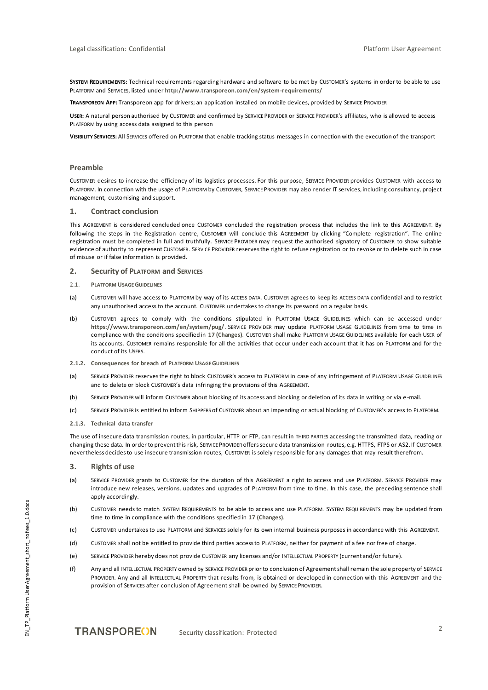**SYSTEM REQUIREMENTS:** Technical requirements regarding hardware and software to be met by CUSTOMER's systems in order to be able to use PLATFORM and SERVICES, listed under **<http://www.transporeon.com/en/system-requirements/>**

**TRANSPOREON APP:** Transporeon app for drivers; an application installed on mobile devices, provided by SERVICE PROVIDER

**USER:** A natural person authorised by CUSTOMER and confirmed by SERVICE PROVIDER or SERVICE PROVIDER's affiliates, who is allowed to access PLATFORM by using access data assigned to this person

**VISIBILITY SERVICES:** All SERVICES offered on PLATFORM that enable tracking status messages in connection with the execution of the transport

## **Preamble**

CUSTOMER desires to increase the efficiency of its logistics processes. For this purpose, SERVICE PROVIDER provides CUSTOMER with access to PLATFORM. In connection with the usage of PLATFORM by CUSTOMER, SERVICE PROVIDER may also render IT services, including consultancy, project management, customising and support.

## **1. Contract conclusion**

This AGREEMENT is considered concluded once CUSTOMER concluded the registration process that includes the link to this AGREEMENT. By following the steps in the Registration centre, CUSTOMER will conclude this AGREEMENT by clicking "Complete registration". The online registration must be completed in full and truthfully. SERVICE PROVIDER may request the authorised signatory of CUSTOMER to show suitable evidence of authority to represent CUSTOMER. SERVICE PROVIDER reserves the right to refuse registration or to revoke or to delete such in case of misuse or if false information is provided.

#### **2. Security of PLATFORM and SERVICES**

- 2.1. **PLATFORM USAGE GUIDELINES**
- (a) CUSTOMER will have access to PLATFORM by way of its ACCESS DATA. CUSTOMER agrees to keep its ACCESS DATA confidential and to restrict any unauthorised access to the account. CUSTOMER undertakes to change its password on a regular basis.
- (b) CUSTOMER agrees to comply with the conditions stipulated in PLATFORM USAGE GUIDELINES which can be accessed under **<https://www.transporeon.com/en/system/pug/>**. SERVICE PROVIDER may update PLATFORM USAGE GUIDELINES from time to time in compliance with the conditions specified in **[17](#page-7-0) [\(Changes\)](#page-7-0)**. CUSTOMER shall make PLATFORM USAGE GUIDELINES available for each USER of its accounts. CUSTOMER remains responsible for all the activities that occur under each account that it has on PLATFORM and for the conduct of its USERS.
- **2.1.2. Consequences for breach of PLATFORM USAGE GUIDELINES**
- (a) SERVICE PROVIDER reserves the right to block CUSTOMER's access to PLATFORM in case of any infringement of PLATFORM USAGE GUIDELINES and to delete or block CUSTOMER's data infringing the provisions of this AGREEMENT.
- (b) SERVICE PROVIDER will inform CUSTOMER about blocking of its access and blocking or deletion of its data in writing or via e-mail.
- (c) SERVICE PROVIDER is entitled to inform SHIPPERS of CUSTOMER about an impending or actual blocking of CUSTOMER's access to PLATFORM.
- **2.1.3. Technical data transfer**

The use of insecure data transmission routes, in particular, HTTP or FTP, can result in THIRD PARTIES accessing the transmitted data, reading or changing these data. In order to prevent this risk, SERVICE PROVIDER offers secure data transmission routes, e.g. HTTPS, FTPS or AS2. If CUSTOMER nevertheless decides to use insecure transmission routes, CUSTOMER is solely responsible for any damages that may result therefrom.

### **3. Rights of use**

- (a) SERVICE PROVIDER grants to CUSTOMER for the duration of this AGREEMENT a right to access and use PLATFORM. SERVICE PROVIDER may introduce new releases, versions, updates and upgrades of PLATFORM from time to time. In this case, the preceding sentence shall apply accordingly.
- (b) CUSTOMER needs to match SYSTEM REQUIREMENTS to be able to access and use PLATFORM. SYSTEM REQUIREMENTS may be updated from time to time in compliance with the conditions specified in **[17](#page-7-0) [\(Changes\)](#page-7-0)**.
- (c) CUSTOMER undertakes to use PLATFORM and SERVICES solely for its own internal business purposes in accordance with this AGREEMENT.
- (d) CUSTOMER shall not be entitled to provide third parties access to PLATFORM, neither for payment of a fee nor free of charge.
- (e) SERVICE PROVIDER hereby does not provide CUSTOMER any licenses and/or INTELLECTUAL PROPERTY (current and/or future).
- (f) Any and all INTELLECTUAL PROPERTY owned by SERVICE PROVIDER prior to conclusion of Agreementshall remain the sole property of SERVICE PROVIDER. Any and all INTELLECTUAL PROPERTY that results from, is obtained or developed in connection with this AGREEMENT and the provision of SERVICES after conclusion of Agreement shall be owned by SERVICE PROVIDER.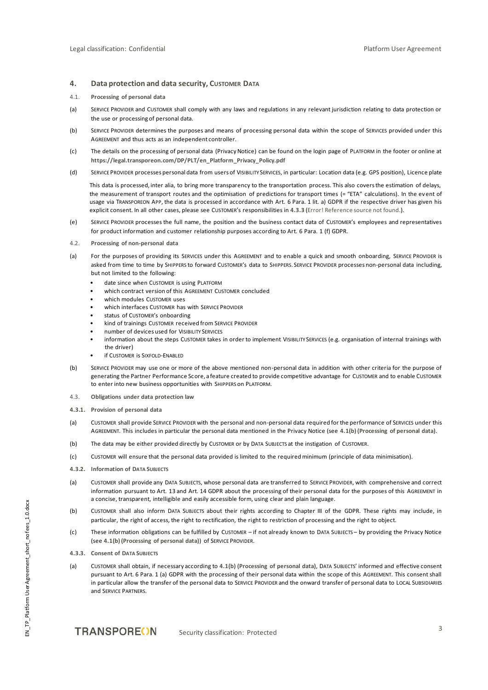# **4. Data protection and data security, CUSTOMER DATA**

- 4.1. **Processing of personal data**
- (a) SERVICE PROVIDER and CUSTOMER shall comply with any laws and regulations in any relevant jurisdiction relating to data protection or the use or processing of personal data.
- <span id="page-2-1"></span>(b) SERVICE PROVIDER determines the purposes and means of processing personal data within the scope of SERVICES provided under this AGREEMENT and thus acts as an independent controller.
- <span id="page-2-2"></span>(c) The details on the processing of personal data (Privacy Notice) can be found on the login page of PLATFORM in the footer or online at **[https://legal.transporeon.com/DP/PLT/en\\_Platform\\_Privacy\\_Policy.pdf](https://legal.transporeon.com/DP/PLT/de_Platform_Privacy_Policy.pdf)**
- (d) SERVICE PROVIDER processes personal data from users of VISIBILITY SERVICES, in particular: Location data (e.g. GPS position), Licence plate

This data is processed, inter alia, to bring more transparency to the transportation process. This also covers the estimation of delays, the measurement of transport routes and the optimisation of predictions for transport times (= "ETA" calculations). In the event of usage via TRANSPOREON APP, the data is processed in accordance with Art. 6 Para. 1 lit. a) GDPR if the respective driver has given his explicit consent. In all other cases, please see CUSTOMER's responsibilities in **[4.3.3](#page-2-0) (**Error! Reference source not found.**)**.

- (e) SERVICE PROVIDER processes the full name, the position and the business contact data of CUSTOMER's employees and representatives for product information and customer relationship purposes according to Art. 6 Para. 1 (f) GDPR.
- 4.2. **Processing of non-personal data**
- (a) For the purposes of providing its SERVICES under this AGREEMENT and to enable a quick and smooth onboarding, SERVICE PROVIDER is asked from time to time by SHIPPERS to forward CUSTOMER's data to SHIPPERS. SERVICE PROVIDER processes non-personal data including, but not limited to the following:
	- date since when CUSTOMER is using PLATFORM
	- which contract version of this AGREEMENT CUSTOMER concluded
	- which modules CUSTOMER uses
	- which interfaces CUSTOMER has with SERVICE PROVIDER
	- status of CUSTOMER's onboarding
	- kind of trainings CUSTOMER received from SERVICE PROVIDER
	- number of devices used for VISIBILITY SERVICES
	- information about the steps CUSTOMER takes in order to implement VISIBILITY SERVICES (e.g. organisation of internal trainings with the driver)
	- **if CUSTOMER is SIXFOLD-ENABLED**
- (b) SERVICE PROVIDER may use one or more of the above mentioned non-personal data in addition with other criteria for the purpose of generating the Partner Performance Score, a feature created to provide competitive advantage for CUSTOMER and to enable CUSTOMER to enter into new business opportunities with SHIPPERS on PLATFORM.
- 4.3. **Obligations under data protection law**
- **4.3.1. Provision of personal data**
- (a) CUSTOMER shall provide SERVICE PROVIDER with the personal and non-personal data required for the performance of SERVICES under this AGREEMENT. This includes in particular the personal data mentioned in the Privacy Notice (see **[4.1\(b\)](#page-2-1) [\(Processing of personal data\)](#page-2-1)**.
- (b) The data may be either provided directly by CUSTOMER or by DATA SUBJECTS at the instigation of CUSTOMER.
- (c) CUSTOMER will ensure that the personal data provided is limited to the required minimum (principle of data minimisation).
- **4.3.2. Information of DATA SUBJECTS**
- (a) CUSTOMER shall provide any DATA SUBJECTS, whose personal data are transferred to SERVICE PROVIDER, with comprehensive and correct information pursuant to Art. 13 and Art. 14 GDPR about the processing of their personal data for the purposes of this AGREEMENT in a concise, transparent, intelligible and easily accessible form, using clear and plain language.
- (b) CUSTOMER shall also inform DATA SUBJECTS about their rights according to Chapter III of the GDPR. These rights may include, in particular, the right of access, the right to rectification, the right to restriction of processing and the right to object.
- (c) These information obligations can be fulfilled by CUSTOMER if not already known to DATA SUBJECTS by providing the Privacy Notice (see **[4.1\(b\)](#page-2-1) (Processing of personal data)**) of SERVICE PROVIDER.
- <span id="page-2-0"></span>**4.3.3. Consent of DATA SUBJECTS**
- (a) CUSTOMER shall obtain, if necessary according to **[4.1\(b\)](#page-2-1) (Processing of personal data)**, DATA SUBJECTS' informed and effective consent pursuant to Art. 6 Para. 1 (a) GDPR with the processing of their personal data within the scope of this AGREEMENT. This consent shall in particular allow the transfer of the personal data to SERVICE PROVIDER and the onward transfer of personal data to LOCAL SUBSIDIARIES and SERVICE PARTNERS.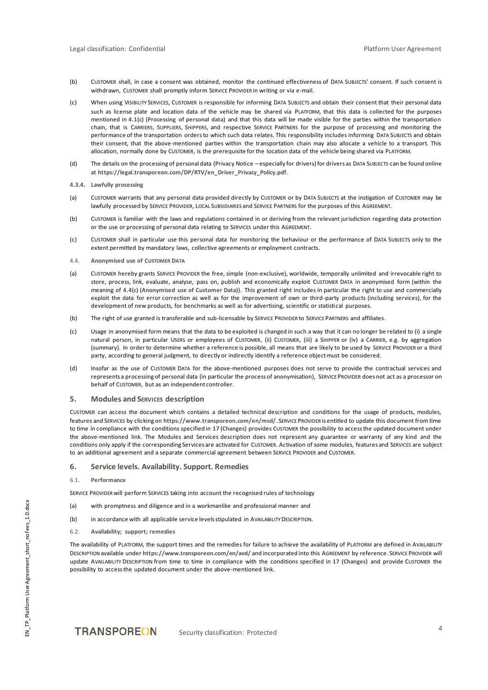- (b) CUSTOMER shall, in case a consent was obtained, monitor the continued effectiveness of DATA SUBJECTS' consent. If such consent is withdrawn, CUSTOMER shall promptly inform SERVICE PROVIDER in writing or via e-mail.
- (c) When using VISIBILITY SERVICES, CUSTOMER is responsible for informing DATA SUBJECTS and obtain their consent that their personal data such as license plate and location data of the vehicle may be shared via PLATFORM, that this data is collected for the purposes mentioned in **[4.1\(c\)](#page-2-2) (Processing of personal data)** and that this data will be made visible for the parties within the transportation chain, that is CARRIERS, SUPPLIERS, SHIPPERS, and respective SERVICE PARTNERS for the purpose of processing and monitoring the performance of the transportation orders to which such data relates. This responsibility includes informing DATA SUBJECTS and obtain their consent, that the above-mentioned parties within the transportation chain may also allocate a vehicle to a transport. This allocation, normally done by CUSTOMER, is the prerequisite for the location data of the vehicle being shared via PLATFORM.
- (d) The details on the processing of personal data (Privacy Notice especially for drivers) for drivers as DATA SUBJECTS can be found online at **[https://legal.transporeon.com/DP/RTV/en\\_Driver\\_Privacy\\_Policy.pdf](https://legal.transporeon.com/DP/RTV/en_Driver_Privacy_Policy.pdf)**.
- **4.3.4. Lawfully processing**
- (a) CUSTOMER warrants that any personal data provided directly by CUSTOMER or by DATA SUBJECTS at the instigation of CUSTOMER may be lawfully processed by SERVICE PROVIDER, LOCAL SUBSIDIARIES and SERVICE PARTNERS for the purposes of this AGREEMENT.
- (b) CUSTOMER is familiar with the laws and regulations contained in or deriving from the relevant jurisdiction regarding data protection or the use or processing of personal data relating to SERVICES under this AGREEMENT.
- (c) CUSTOMER shall in particular use this personal data for monitoring the behaviour or the performance of DATA SUBJECTS only to the extent permitted by mandatory laws, collective agreements or employment contracts.
- <span id="page-3-0"></span>4.4. **Anonymised use of CUSTOMER DATA**
- (a) CUSTOMER hereby grants SERVICE PROVIDER the free, simple (non-exclusive), worldwide, temporally unlimited and irrevocable right to store, process, link, evaluate, analyse, pass on, publish and economically exploit CUSTOMER DATA in anonymised form (within the meaning of **[4.4](#page-3-0)[\(c\)](#page-3-1) (Anonymised use of Customer Data)**). This granted right includes in particular the right to use and commercially exploit the data for error correction as well as for the improvement of own or third-party products (including services), for the development of new products, for benchmarks as well as for advertising, scientific or statistical purposes.
- (b) The right of use granted is transferable and sub-licensable by SERVICE PROVIDER to SERVICE PARTNERS and affiliates.
- <span id="page-3-1"></span>(c) Usage in anonymised form means that the data to be exploited is changed in such a way that it can no longer be related to (i) a single natural person, in particular USERS or employees of CUSTOMER, (ii) CUSTOMER, (iii) a SHIPPER or (iv) a CARRIER, e.g. by aggregation (summary). In order to determine whether a reference is possible, all means that are likely to be used by SERVICE PROVIDER or a third party, according to general judgment, to directly or indirectly identify a reference object must be considered.
- (d) Insofar as the use of CUSTOMER DATA for the above-mentioned purposes does not serve to provide the contractual services and represents a processing of personal data (in particular the process of anonymisation), SERVICE PROVIDER does not act as a processor on behalf of CUSTOMER, but as an independent controller.

# **5. Modules and SERVICES description**

CUSTOMER can access the document which contains a detailed technical description and conditions for the usage of products, modules, features and SERVICES by clicking on **<https://www.transporeon.com/en/msd/>**. SERVICE PROVIDER is entitled to update this document from time to time in compliance with the conditions specified in **[17](#page-7-0) [\(Changes\)](#page-7-0)** provides CUSTOMER the possibility to access the updated document under the above-mentioned link. The Modules and Services description does not represent any guarantee or warranty of any kind and the conditions only apply if the corresponding Services are activated for CUSTOMER. Activation of some modules, features and SERVICES are subject to an additional agreement and a separate commercial agreement between SERVICE PROVIDER and CUSTOMER.

## **6. Service levels. Availability. Support. Remedies**

6.1. **Performance**

SERVICE PROVIDER will perform SERVICES taking into account the recognised rules of technology

- (a) with promptness and diligence and in a workmanlike and professional manner and
- (b) in accordance with all applicable service levels stipulated in AVAILABILITY DESCRIPTION.
- 6.2. **Availability; support; remedies**

The availability of PLATFORM, the support times and the remedies for failure to achieve the availability of PLATFORM are defined in AVAILABILITY DESCRIPTION available under **<https://www.transporeon.com/en/avd/>** and incorporated into this AGREEMENT by reference. SERVICE PROVIDER will update AVAILABILITY DESCRIPTION from time to time in compliance with the conditions specified in **[17](#page-7-0) [\(Changes\)](#page-7-0)** and provide CUSTOMER the possibility to access the updated document under the above-mentioned link.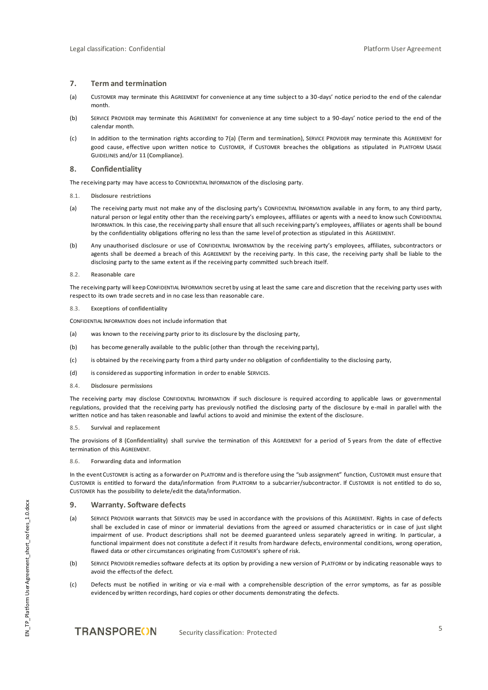## <span id="page-4-0"></span>**7. Term and termination**

- (a) CUSTOMER may terminate this AGREEMENT for convenience at any time subject to a 30-days' notice period to the end of the calendar month.
- (b) SERVICE PROVIDER may terminate this AGREEMENT for convenience at any time subject to a 90-days' notice period to the end of the calendar month.
- (c) In addition to the termination rights according to **[7\(](#page-4-0)a) [\(Term and termination\)](#page-4-0)**, SERVICE PROVIDER may terminate this AGREEMENT for good cause, effective upon written notice to CUSTOMER, if CUSTOMER breaches the obligations as stipulated in PLATFORM USAGE GUIDELINES and/or **[11](#page-5-0) [\(Compliance\)](#page-5-0)**.

## <span id="page-4-1"></span>**8. Confidentiality**

The receiving party may have access to CONFIDENTIAL INFORMATION of the disclosing party.

- 8.1. **Disclosure restrictions**
- (a) The receiving party must not make any of the disclosing party's CONFIDENTIAL INFORMATION available in any form, to any third party, natural person or legal entity other than the receiving party's employees, affiliates or agents with a need to know such CONFIDENTIAL INFORMATION. In this case, the receiving party shall ensure that all such receiving party's employees, affiliates or agents shall be bound by the confidentiality obligations offering no less than the same level of protection as stipulated in this AGREEMENT.
- (b) Any unauthorised disclosure or use of CONFIDENTIAL INFORMATION by the receiving party's employees, affiliates, subcontractors or agents shall be deemed a breach of this AGREEMENT by the receiving party. In this case, the receiving party shall be liable to the disclosing party to the same extent as if the receiving party committed such breach itself.
- 8.2. **Reasonable care**

The receiving party will keep CONFIDENTIAL INFORMATION secret by using at least the same care and discretion that the receiving party uses with respect to its own trade secrets and in no case less than reasonable care.

8.3. **Exceptions of confidentiality**

CONFIDENTIAL INFORMATION does not include information that

- (a) was known to the receiving party prior to its disclosure by the disclosing party,
- (b) has become generally available to the public (other than through the receiving party),
- (c) is obtained by the receiving party from a third party under no obligation of confidentiality to the disclosing party,
- (d) is considered as supporting information in order to enable SERVICES.
- 8.4. **Disclosure permissions**

The receiving party may disclose CONFIDENTIAL INFORMATION if such disclosure is required according to applicable laws or governmental regulations, provided that the receiving party has previously notified the disclosing party of the disclosure by e-mail in parallel with the written notice and has taken reasonable and lawful actions to avoid and minimise the extent of the disclosure.

## 8.5. **Survival and replacement**

The provisions of **[8](#page-4-1) [\(Confidentiality\)](#page-4-1)** shall survive the termination of this AGREEMENT for a period of 5 years from the date of effective termination of this AGREEMENT.

8.6. **Forwarding data and information**

In the event CUSTOMER is acting as a forwarder on PLATFORM and is therefore using the "sub assignment" function, CUSTOMER must ensure that CUSTOMER is entitled to forward the data/information from PLATFORM to a subcarrier/subcontractor. If CUSTOMER is not entitled to do so, CUSTOMER has the possibility to delete/edit the data/information.

# **9. Warranty. Software defects**

- (a) SERVICE PROVIDER warrants that SERVICES may be used in accordance with the provisions of this AGREEMENT. Rights in case of defects shall be excluded in case of minor or immaterial deviations from the agreed or assumed characteristics or in case of just slight impairment of use. Product descriptions shall not be deemed guaranteed unless separately agreed in writing. In particular, a functional impairment does not constitute a defect if it results from hardware defects, environmental conditions, wrong operation, flawed data or other circumstances originating from CUSTOMER's sphere of risk.
- (b) SERVICE PROVIDER remedies software defects at its option by providing a new version of PLATFORM or by indicating reasonable ways to avoid the effects of the defect.
- (c) Defects must be notified in writing or via e-mail with a comprehensible description of the error symptoms, as far as possible evidenced by written recordings, hard copies or other documents demonstrating the defects.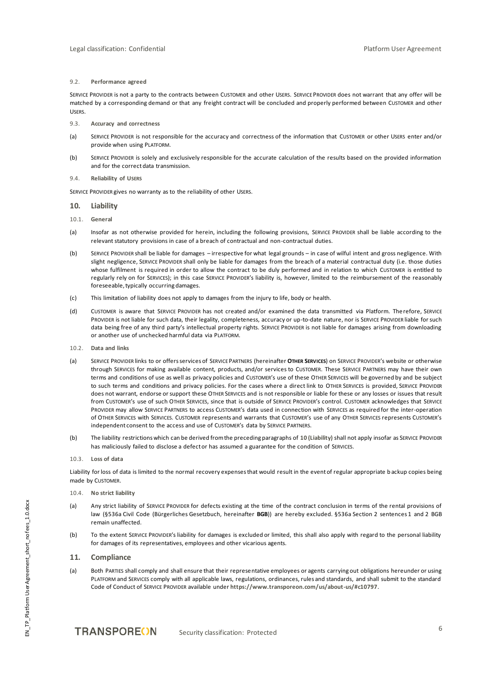## 9.2. **Performance agreed**

SERVICE PROVIDER is not a party to the contracts between CUSTOMER and other USERS. SERVICE PROVIDER does not warrant that any offer will be matched by a corresponding demand or that any freight contract will be concluded and properly performed between CUSTOMER and other USERS.

- 9.3. **Accuracy and correctness**
- (a) SERVICE PROVIDER is not responsible for the accuracy and correctness of the information that CUSTOMER or other USERS enter and/or provide when using PLATFORM.
- (b) SERVICE PROVIDER is solely and exclusively responsible for the accurate calculation of the results based on the provided information and for the correct data transmission.
- 9.4. **Reliability of USERS**

SERVICE PROVIDER gives no warranty as to the reliability of other USERS.

- <span id="page-5-1"></span>**10. Liability**
- 10.1. **General**
- (a) Insofar as not otherwise provided for herein, including the following provisions, SERVICE PROVIDER shall be liable according to the relevant statutory provisions in case of a breach of contractual and non-contractual duties.
- (b) SERVICE PROVIDER shall be liable for damages irrespective for what legal grounds in case of wilful intent and gross negligence. With slight negligence, SERVICE PROVIDER shall only be liable for damages from the breach of a material contractual duty (i.e. those duties whose fulfilment is required in order to allow the contract to be duly performed and in relation to which CUSTOMER is entitled to regularly rely on for SERVICES); in this case SERVICE PROVIDER's liability is, however, limited to the reimbursement of the reasonably foreseeable, typically occurring damages.
- (c) This limitation of liability does not apply to damages from the injury to life, body or health.
- (d) CUSTOMER is aware that SERVICE PROVIDER has not created and/or examined the data transmitted via Platform. Therefore, SERVICE PROVIDER is not liable for such data, their legality, completeness, accuracy or up-to-date nature, nor is SERVICE PROVIDER liable for such data being free of any third party's intellectual property rights. SERVICE PROVIDER is not liable for damages arising from downloading or another use of unchecked harmful data via PLATFORM.
- 10.2. **Data and links**
- (a) SERVICE PROVIDER links to or offers services of SERVICE PARTNERS (hereinafter **OTHER SERVICES**) on SERVICE PROVIDER's website or otherwise through SERVICES for making available content, products, and/or services to CUSTOMER. These SERVICE PARTNERS may have their own terms and conditions of use as well as privacy policies and CUSTOMER's use of these OTHER SERVICES will be governed by and be subject to such terms and conditions and privacy policies. For the cases where a direct link to OTHER SERVICES is provided, SERVICE PROVIDER does not warrant, endorse or support these OTHER SERVICES and is not responsible or liable for these or any losses or issues that result from CUSTOMER's use of such OTHER SERVICES, since that is outside of SERVICE PROVIDER's control. CUSTOMER acknowledges that SERVICE PROVIDER may allow SERVICE PARTNERS to access CUSTOMER's data used in connection with SERVICES as required for the inter-operation of OTHER SERVICES with SERVICES. CUSTOMER represents and warrants that CUSTOMER's use of any OTHER SERVICES represents CUSTOMER's independent consent to the access and use of CUSTOMER's data by SERVICE PARTNERS.
- (b) The liability restrictions which can be derived from the preceding paragraphs of **[10](#page-5-1) [\(Liability\)](#page-5-1)** shall not apply insofar as SERVICE PROVIDER has maliciously failed to disclose a defect or has assumed a guarantee for the condition of SERVICES.
- 10.3. **Loss of data**

Liability for loss of data is limited to the normal recovery expenses that would result in the event of regular appropriate b ackup copies being made by CUSTOMER.

- 10.4. **No strict liability**
- (a) Any strict liability of SERVICE PROVIDER for defects existing at the time of the contract conclusion in terms of the rental provisions of law (§536a Civil Code (Bürgerliches Gesetzbuch, hereinafter **BGB**)) are hereby excluded. §536a Section 2 sentences 1 and 2 BGB remain unaffected.
- (b) To the extent SERVICE PROVIDER's liability for damages is excluded or limited, this shall also apply with regard to the personal liability for damages of its representatives, employees and other vicarious agents.

## <span id="page-5-0"></span>**11. Compliance**

(a) Both PARTIES shall comply and shall ensure that their representative employees or agents carrying out obligations hereunder or using PLATFORM and SERVICES comply with all applicable laws, regulations, ordinances, rules and standards, and shall submit to the standard Code of Conduct of SERVICE PROVIDER available under **<https://www.transporeon.com/us/about-us/#c10797>**.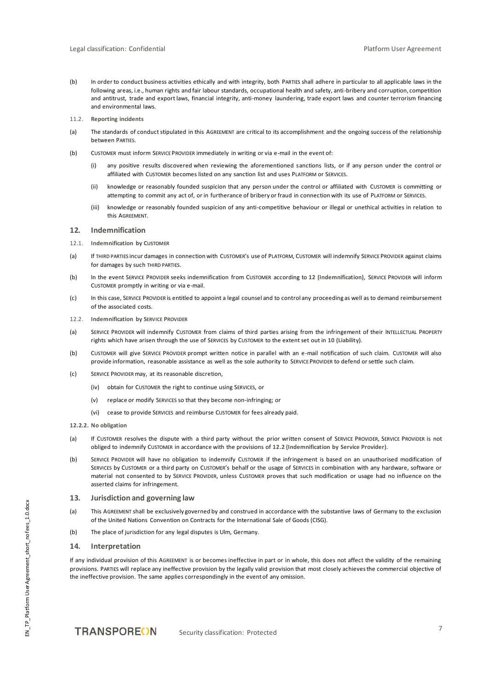- (b) In order to conduct business activities ethically and with integrity, both PARTIES shall adhere in particular to all applicable laws in the following areas, i.e., human rights and fair labour standards, occupational health and safety, anti-bribery and corruption, competition and antitrust, trade and export laws, financial integrity, anti-money laundering, trade export laws and counter terrorism financing and environmental laws.
- 11.2. **Reporting incidents**
- (a) The standards of conduct stipulated in this AGREEMENT are critical to its accomplishment and the ongoing success of the relationship between PARTIES.
- (b) CUSTOMER must inform SERVICE PROVIDER immediately in writing or via e-mail in the event of:
	- (i) any positive results discovered when reviewing the aforementioned sanctions lists, or if any person under the control or affiliated with CUSTOMER becomes listed on any sanction list and uses PLATFORM or SERVICES.
	- (ii) knowledge or reasonably founded suspicion that any person under the control or affiliated with CUSTOMER is committing or attempting to commit any act of, or in furtherance of bribery or fraud in connection with its use of PLATFORM or SERVICES.
	- (iii) knowledge or reasonably founded suspicion of any anti-competitive behaviour or illegal or unethical activities in relation to this AGREEMENT.

# <span id="page-6-0"></span>**12. Indemnification**

- 12.1. **Indemnification by CUSTOMER**
- (a) If THIRD PARTIES incur damages in connection with CUSTOMER's use of PLATFORM, CUSTOMER will indemnify SERVICE PROVIDER against claims for damages by such THIRD PARTIES.
- (b) In the event SERVICE PROVIDER seeks indemnification from CUSTOMER according to **[12](#page-6-0) [\(Indemnification\)](#page-6-0)**, SERVICE PROVIDER will inform CUSTOMER promptly in writing or via e-mail.
- (c) In this case, SERVICE PROVIDER is entitled to appoint a legal counsel and to control any proceeding as well as to demand reimbursement of the associated costs.
- <span id="page-6-1"></span>12.2. **Indemnification by SERVICE PROVIDER**
- (a) SERVICE PROVIDER will indemnify CUSTOMER from claims of third parties arising from the infringement of their INTELLECTUAL PROPERTY rights which have arisen through the use of SERVICES by CUSTOMER to the extent set out in **[10](#page-5-1) [\(Liability\)](#page-5-1)**.
- (b) CUSTOMER will give SERVICE PROVIDER prompt written notice in parallel with an e-mail notification of such claim. CUSTOMER will also provide information, reasonable assistance as well as the sole authority to SERVICE PROVIDER to defend or settle such claim.
- (c) SERVICE PROVIDER may, at its reasonable discretion,
	- (iv) obtain for CUSTOMER the right to continue using SERVICES, or
	- (v) replace or modify SERVICES so that they become non-infringing; or
	- (vi) cease to provide SERVICES and reimburse CUSTOMER for fees already paid.
- **12.2.2. No obligation**
- (a) If CUSTOMER resolves the dispute with a third party without the prior written consent of SERVICE PROVIDER, SERVICE PROVIDER is not obliged to indemnify CUSTOMER in accordance with the provisions of **[12.2](#page-6-1) [\(Indemnification by Service Provider\)](#page-6-1)**.
- (b) SERVICE PROVIDER will have no obligation to indemnify CUSTOMER if the infringement is based on an unauthorised modification of SERVICES by CUSTOMER or a third party on CUSTOMER's behalf or the usage of SERVICES in combination with any hardware, software or material not consented to by SERVICE PROVIDER, unless CUSTOMER proves that such modification or usage had no influence on the asserted claims for infringement.

## **13. Jurisdiction and governing law**

- (a) This AGREEMENT shall be exclusively governed by and construed in accordance with the substantive laws of Germany to the exclusion of the United Nations Convention on Contracts for the International Sale of Goods (CISG).
- (b) The place of jurisdiction for any legal disputes is Ulm, Germany.

## **14. Interpretation**

If any individual provision of this AGREEMENT is or becomes ineffective in part or in whole, this does not affect the validity of the remaining provisions. PARTIES will replace any ineffective provision by the legally valid provision that most closely achieves the commercial objective of the ineffective provision. The same applies correspondingly in the event of any omission.